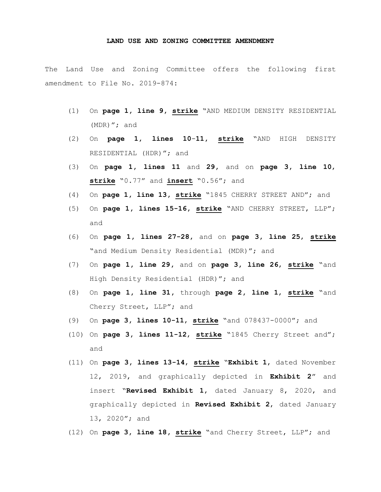## **LAND USE AND ZONING COMMITTEE AMENDMENT**

The Land Use and Zoning Committee offers the following first amendment to File No. 2019-874:

- (1) On **page 1, line 9, strike** "AND MEDIUM DENSITY RESIDENTIAL (MDR)"; and
- (2) On **page 1, lines 10**-**11, strike** "AND HIGH DENSITY RESIDENTIAL (HDR)"; and
- (3) On **page 1, lines 11** and **29,** and on **page 3, line 10**, **strike** "0.77" and **insert** "0.56"; and
- (4) On **page 1, line 13, strike** "1845 CHERRY STREET AND"; and
- (5) On **page 1, lines 15-16, strike** "AND CHERRY STREET, LLP"; and
- (6) On **page 1, lines 27-28,** and on **page 3, line 25**, **strike** "and Medium Density Residential (MDR)"; and
- (7) On **page 1, line 29,** and on **page 3, line 26**, **strike** "and High Density Residential (HDR)"; and
- (8) On **page 1, line 31,** through **page 2, line 1**, **strike** "and Cherry Street, LLP"; and
- (9) On **page 3, lines 10-11**, **strike** "and 078437-0000"; and
- (10) On **page 3, lines 11-12**, **strike** "1845 Cherry Street and"; and
- (11) On **page 3, lines 13-14**, **strike** "**Exhibit 1**, dated November 12, 2019, and graphically depicted in **Exhibit 2**" and insert "**Revised Exhibit 1**, dated January 8, 2020, and graphically depicted in **Revised Exhibit 2**, dated January 13, 2020"; and
- (12) On **page 3, line 18, strike** "and Cherry Street, LLP"; and